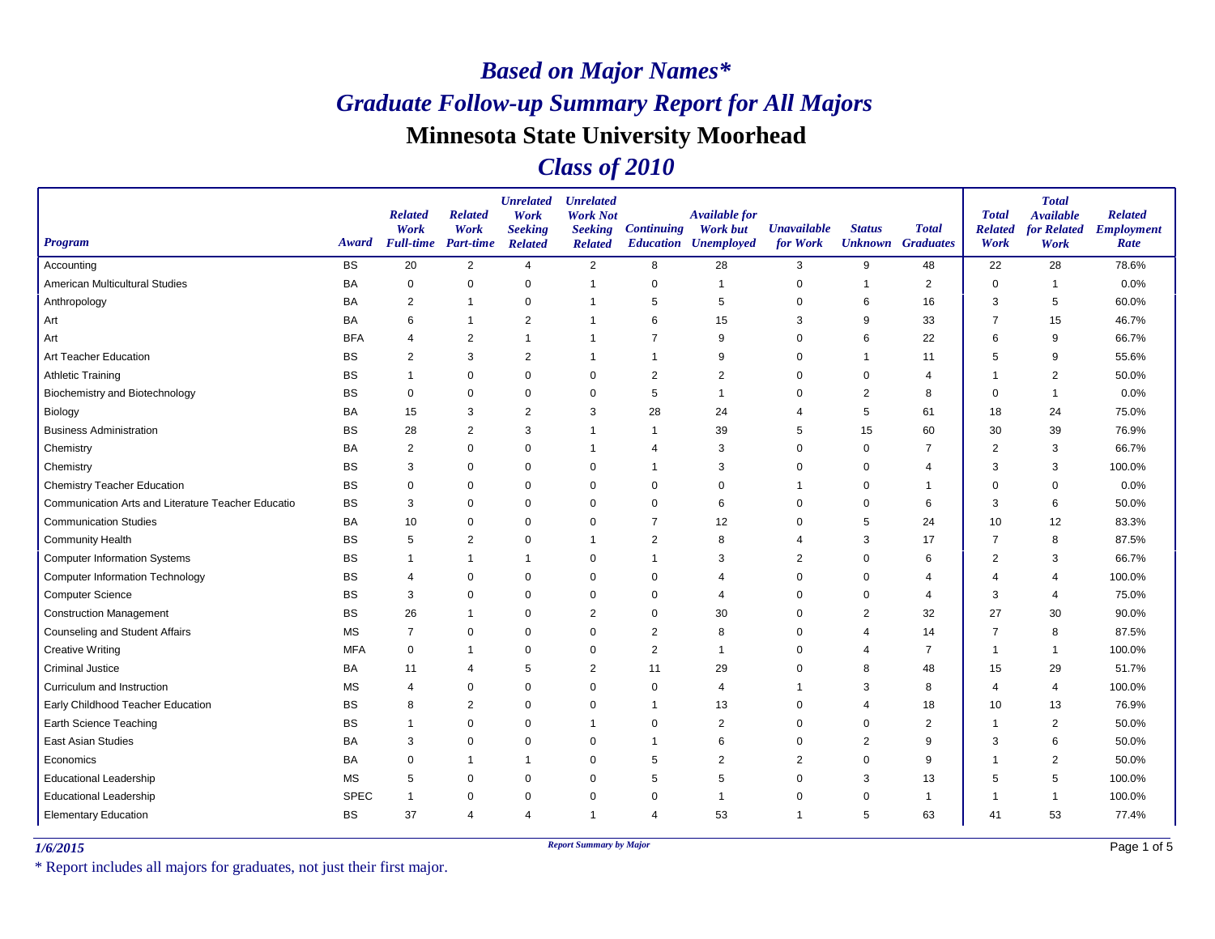#### *Class of 2010*

| <b>Program</b>                                     | Award       | <b>Related</b><br>Work<br><b>Full-time</b> | <b>Related</b><br>Work<br><b>Part-time</b> | <b>Unrelated</b><br>Work<br><b>Seeking</b><br><b>Related</b> | <b>Unrelated</b><br><b>Work Not</b><br><b>Seeking</b><br><b>Related</b> | <b>Continuing</b> | Available for<br><b>Work but</b><br><b>Education Unemployed</b> | <b>Unavailable</b><br>for Work | <b>Status</b><br><b>Unknown</b> | <b>Total</b><br><b>Graduates</b> | <b>Total</b><br><b>Related</b><br>Work | <b>Total</b><br><b>Available</b><br><b>for Related</b><br>Work | <b>Related</b><br><b>Employment</b><br>Rate |
|----------------------------------------------------|-------------|--------------------------------------------|--------------------------------------------|--------------------------------------------------------------|-------------------------------------------------------------------------|-------------------|-----------------------------------------------------------------|--------------------------------|---------------------------------|----------------------------------|----------------------------------------|----------------------------------------------------------------|---------------------------------------------|
| Accounting                                         | <b>BS</b>   | 20                                         | 2                                          | 4                                                            | $\overline{2}$                                                          | 8                 | 28                                                              | 3                              | 9                               | 48                               | 22                                     | 28                                                             | 78.6%                                       |
| American Multicultural Studies                     | BA          | 0                                          | $\mathbf 0$                                | $\Omega$                                                     | $\overline{1}$                                                          | 0                 | $\overline{1}$                                                  | 0                              | $\mathbf 1$                     | $\overline{2}$                   | $\Omega$                               | $\overline{1}$                                                 | 0.0%                                        |
| Anthropology                                       | BA          | 2                                          | $\mathbf 1$                                | $\mathbf 0$                                                  | $\overline{1}$                                                          | 5                 | 5                                                               | $\Omega$                       | 6                               | 16                               | 3                                      | 5                                                              | 60.0%                                       |
| Art                                                | BA          | 6                                          |                                            | $\overline{2}$                                               |                                                                         | 6                 | 15                                                              | 3                              | 9                               | 33                               | 7                                      | 15                                                             | 46.7%                                       |
| Art                                                | <b>BFA</b>  | $\overline{4}$                             | $\overline{2}$                             | $\overline{1}$                                               | $\overline{1}$                                                          | $\overline{7}$    | 9                                                               | $\Omega$                       | 6                               | 22                               | 6                                      | 9                                                              | 66.7%                                       |
| Art Teacher Education                              | <b>BS</b>   | 2                                          | 3                                          | $\overline{2}$                                               | -1                                                                      | -1                | 9                                                               | 0                              | -1                              | 11                               | 5                                      | 9                                                              | 55.6%                                       |
| <b>Athletic Training</b>                           | <b>BS</b>   | $\mathbf{1}$                               | $\Omega$                                   | $\Omega$                                                     | $\mathbf 0$                                                             | $\overline{2}$    | $\overline{2}$                                                  | $\Omega$                       | $\Omega$                        | $\overline{4}$                   |                                        | $\overline{2}$                                                 | 50.0%                                       |
| <b>Biochemistry and Biotechnology</b>              | <b>BS</b>   | $\mathbf 0$                                | $\Omega$                                   | $\mathbf 0$                                                  | $\mathbf 0$                                                             | 5                 | -1                                                              | $\Omega$                       | 2                               | 8                                | $\Omega$                               | $\overline{1}$                                                 | 0.0%                                        |
| Biology                                            | BA          | 15                                         | 3                                          | $\overline{2}$                                               | 3                                                                       | 28                | 24                                                              | 4                              | 5                               | 61                               | 18                                     | 24                                                             | 75.0%                                       |
| <b>Business Administration</b>                     | <b>BS</b>   | 28                                         | 2                                          | 3                                                            | $\overline{1}$                                                          | -1                | 39                                                              | 5                              | 15                              | 60                               | 30                                     | 39                                                             | 76.9%                                       |
| Chemistry                                          | BA          | $\overline{c}$                             | $\mathbf 0$                                | $\mathbf 0$                                                  | -1                                                                      | $\overline{4}$    | 3                                                               | 0                              | 0                               | $\overline{7}$                   | $\overline{2}$                         | 3                                                              | 66.7%                                       |
| Chemistry                                          | BS          | 3                                          | $\Omega$                                   | $\mathbf 0$                                                  | 0                                                                       | -1                | 3                                                               | $\Omega$                       | $\mathbf 0$                     | $\overline{4}$                   | 3                                      | 3                                                              | 100.0%                                      |
| <b>Chemistry Teacher Education</b>                 | <b>BS</b>   | $\mathbf 0$                                | $\mathbf 0$                                | $\Omega$                                                     | $\mathbf 0$                                                             | $\mathbf 0$       | $\Omega$                                                        |                                | $\mathbf 0$                     | 1                                | $\Omega$                               | $\Omega$                                                       | 0.0%                                        |
| Communication Arts and Literature Teacher Educatio | <b>BS</b>   | 3                                          | $\mathbf 0$                                | $\Omega$                                                     | 0                                                                       | 0                 | 6                                                               | $\Omega$                       | 0                               | 6                                | 3                                      | 6                                                              | 50.0%                                       |
| <b>Communication Studies</b>                       | BA          | 10                                         | $\Omega$                                   | $\Omega$                                                     | $\Omega$                                                                | $\overline{7}$    | 12                                                              | $\Omega$                       | 5                               | 24                               | 10                                     | 12                                                             | 83.3%                                       |
| <b>Community Health</b>                            | <b>BS</b>   | 5                                          | $\overline{c}$                             | $\mathbf 0$                                                  | -1                                                                      | $\overline{c}$    | 8                                                               | 4                              | 3                               | 17                               | 7                                      | 8                                                              | 87.5%                                       |
| <b>Computer Information Systems</b>                | <b>BS</b>   | $\mathbf{1}$                               | $\mathbf 1$                                | $\mathbf{1}$                                                 | 0                                                                       | $\overline{1}$    | 3                                                               | $\overline{2}$                 | $\mathbf 0$                     | 6                                | $\overline{2}$                         | 3                                                              | 66.7%                                       |
| <b>Computer Information Technology</b>             | BS          | $\overline{4}$                             | $\mathbf 0$                                | $\Omega$                                                     | $\mathbf 0$                                                             | $\mathbf 0$       | 4                                                               | $\mathbf 0$                    | $\mathbf 0$                     | 4                                | 4                                      | $\overline{4}$                                                 | 100.0%                                      |
| <b>Computer Science</b>                            | BS          | 3                                          | 0                                          | 0                                                            | 0                                                                       | 0                 | $\overline{4}$                                                  | 0                              | 0                               | $\overline{4}$                   | 3                                      | 4                                                              | 75.0%                                       |
| <b>Construction Management</b>                     | <b>BS</b>   | 26                                         | $\mathbf 1$                                | $\Omega$                                                     | $\overline{2}$                                                          | $\mathbf 0$       | 30                                                              | $\mathbf 0$                    | 2                               | 32                               | 27                                     | 30                                                             | 90.0%                                       |
| Counseling and Student Affairs                     | <b>MS</b>   | $\overline{7}$                             | $\mathbf 0$                                | $\Omega$                                                     | $\mathbf 0$                                                             | $\overline{c}$    | 8                                                               | 0                              | 4                               | 14                               | $\overline{7}$                         | 8                                                              | 87.5%                                       |
| <b>Creative Writing</b>                            | <b>MFA</b>  | 0                                          | -1                                         | $\Omega$                                                     | $\mathbf 0$                                                             | 2                 | -1                                                              | $\Omega$                       | 4                               | 7                                | -1                                     | $\overline{1}$                                                 | 100.0%                                      |
| <b>Criminal Justice</b>                            | BA          | 11                                         | $\overline{4}$                             | 5                                                            | 2                                                                       | 11                | 29                                                              | 0                              | 8                               | 48                               | 15                                     | 29                                                             | 51.7%                                       |
| Curriculum and Instruction                         | <b>MS</b>   | $\overline{4}$                             | 0                                          | 0                                                            | 0                                                                       | 0                 | 4                                                               |                                | 3                               | 8                                | 4                                      | $\overline{4}$                                                 | 100.0%                                      |
| Early Childhood Teacher Education                  | <b>BS</b>   | 8                                          | $\overline{c}$                             | $\mathbf 0$                                                  | $\mathbf 0$                                                             | -1                | 13                                                              | 0                              | $\overline{4}$                  | 18                               | 10                                     | 13                                                             | 76.9%                                       |
| Earth Science Teaching                             | <b>BS</b>   | $\overline{1}$                             | $\mathbf 0$                                | $\mathbf 0$                                                  | $\overline{1}$                                                          | 0                 | $\overline{2}$                                                  | 0                              | 0                               | 2                                |                                        | 2                                                              | 50.0%                                       |
| East Asian Studies                                 | BA          | 3                                          | $\Omega$                                   | $\mathbf 0$                                                  | 0                                                                       | -1                | 6                                                               | 0                              | 2                               | 9                                | 3                                      | 6                                                              | 50.0%                                       |
| Economics                                          | <b>BA</b>   | $\Omega$                                   | -1                                         | $\overline{1}$                                               | $\mathbf 0$                                                             | 5                 | $\overline{2}$                                                  | $\overline{2}$                 | $\Omega$                        | 9                                |                                        | $\overline{2}$                                                 | 50.0%                                       |
| <b>Educational Leadership</b>                      | <b>MS</b>   | 5                                          | 0                                          | $\mathbf 0$                                                  | $\mathbf 0$                                                             | 5                 | 5                                                               | 0                              | 3                               | 13                               | 5                                      | 5                                                              | 100.0%                                      |
| <b>Educational Leadership</b>                      | <b>SPEC</b> | $\overline{1}$                             | $\mathbf 0$                                | $\mathbf 0$                                                  | $\mathbf 0$                                                             | $\mathbf 0$       | -1                                                              | 0                              | 0                               | $\overline{1}$                   | -1                                     | $\overline{\mathbf{1}}$                                        | 100.0%                                      |
| <b>Elementary Education</b>                        | <b>BS</b>   | 37                                         | $\overline{4}$                             | $\overline{4}$                                               | $\overline{1}$                                                          | $\overline{4}$    | 53                                                              | 1                              | 5                               | 63                               | 41                                     | 53                                                             | 77.4%                                       |

*1/6/2015 Report Summary by Major*

\* Report includes all majors for graduates, not just their first major.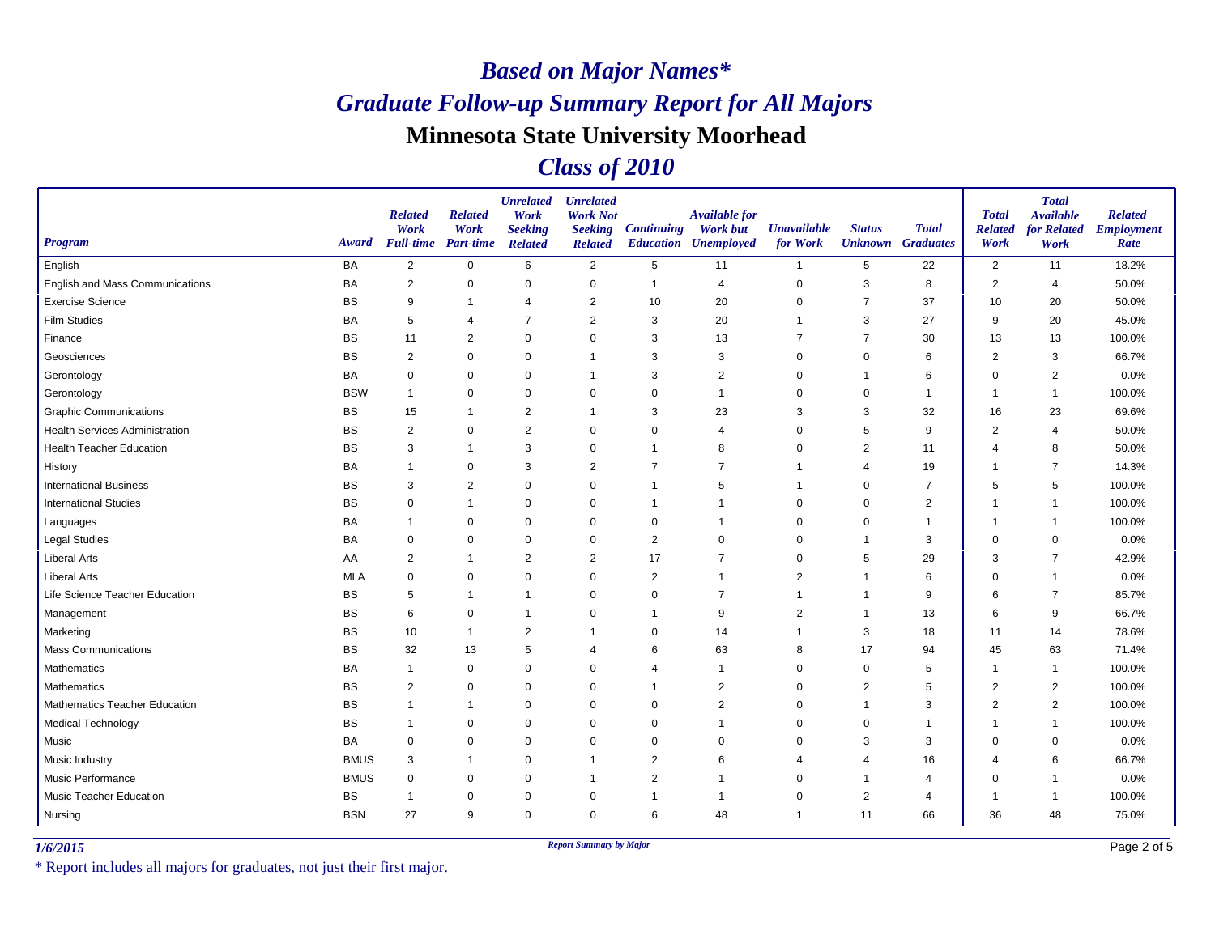#### *Class of 2010*

| <b>Program</b>                        | Award       | <b>Related</b><br>Work<br><b>Full-time</b> Part-time | <b>Related</b><br>Work | <b>Unrelated</b><br>Work<br><b>Seeking</b><br><b>Related</b> | <b>Unrelated</b><br><b>Work Not</b><br><b>Seeking</b><br><b>Related</b> | <b>Continuing</b> | <b>Available for</b><br><b>Work but</b><br><b>Education Unemployed</b> | <b>Unavailable</b><br>for Work | <b>Status</b><br><b>Unknown</b> | <b>Total</b><br><b>Graduates</b> | <b>Total</b><br><b>Related</b><br>Work | <b>Total</b><br><b>Available</b><br><b>for Related</b><br>Work | <b>Related</b><br><b>Employment</b><br>Rate |
|---------------------------------------|-------------|------------------------------------------------------|------------------------|--------------------------------------------------------------|-------------------------------------------------------------------------|-------------------|------------------------------------------------------------------------|--------------------------------|---------------------------------|----------------------------------|----------------------------------------|----------------------------------------------------------------|---------------------------------------------|
| English                               | BA          | $\overline{2}$                                       | $\mathbf 0$            | 6                                                            | $\overline{2}$                                                          | $5\phantom{.0}$   | 11                                                                     | $\overline{1}$                 | 5                               | 22                               | 2                                      | 11                                                             | 18.2%                                       |
| English and Mass Communications       | <b>BA</b>   | $\overline{2}$                                       | 0                      | $\Omega$                                                     | $\pmb{0}$                                                               | $\overline{1}$    | $\overline{4}$                                                         | 0                              | 3                               | 8                                | $\overline{2}$                         | 4                                                              | 50.0%                                       |
| <b>Exercise Science</b>               | <b>BS</b>   | 9                                                    | $\overline{1}$         | $\overline{4}$                                               | $\overline{2}$                                                          | 10                | 20                                                                     | $\Omega$                       | $\overline{7}$                  | 37                               | 10                                     | 20                                                             | 50.0%                                       |
| <b>Film Studies</b>                   | <b>BA</b>   | 5                                                    | 4                      | $\overline{7}$                                               | $\overline{2}$                                                          | 3                 | 20                                                                     |                                | 3                               | 27                               | 9                                      | 20                                                             | 45.0%                                       |
| Finance                               | <b>BS</b>   | 11                                                   | $\overline{2}$         | $\mathbf 0$                                                  | $\mathbf 0$                                                             | 3                 | 13                                                                     | 7                              | $\overline{7}$                  | 30                               | 13                                     | 13                                                             | 100.0%                                      |
| Geosciences                           | <b>BS</b>   | 2                                                    | $\Omega$               | $\Omega$                                                     | $\overline{1}$                                                          | 3                 | 3                                                                      | $\mathbf 0$                    | $\Omega$                        | 6                                | $\overline{2}$                         | 3                                                              | 66.7%                                       |
| Gerontology                           | <b>BA</b>   | $\mathbf 0$                                          | $\Omega$               | $\Omega$                                                     | -1                                                                      | 3                 | $\overline{2}$                                                         | $\mathbf 0$                    | 1                               | 6                                | $\Omega$                               | $\overline{2}$                                                 | 0.0%                                        |
| Gerontology                           | <b>BSW</b>  | $\overline{1}$                                       | $\mathbf 0$            | $\Omega$                                                     | $\mathbf 0$                                                             | $\mathbf 0$       | -1                                                                     | $\mathbf 0$                    | $\mathbf 0$                     | $\mathbf{1}$                     | 1                                      | $\overline{1}$                                                 | 100.0%                                      |
| <b>Graphic Communications</b>         | <b>BS</b>   | 15                                                   | $\mathbf{1}$           | $\overline{2}$                                               | $\mathbf 1$                                                             | 3                 | 23                                                                     | 3                              | 3                               | 32                               | 16                                     | 23                                                             | 69.6%                                       |
| <b>Health Services Administration</b> | <b>BS</b>   | $\overline{2}$                                       | 0                      | $\overline{2}$                                               | 0                                                                       | $\mathbf 0$       | 4                                                                      | $\mathbf 0$                    | 5                               | 9                                | $\overline{2}$                         | $\overline{4}$                                                 | 50.0%                                       |
| <b>Health Teacher Education</b>       | <b>BS</b>   | 3                                                    | 1                      | 3                                                            | 0                                                                       | $\mathbf 1$       | 8                                                                      | $\Omega$                       | 2                               | 11                               | 4                                      | 8                                                              | 50.0%                                       |
| History                               | <b>BA</b>   | $\overline{1}$                                       | $\mathbf 0$            | 3                                                            | $\overline{2}$                                                          | $\overline{7}$    | $\overline{7}$                                                         |                                | 4                               | 19                               |                                        | $\overline{7}$                                                 | 14.3%                                       |
| <b>International Business</b>         | <b>BS</b>   | 3                                                    | $\overline{2}$         | $\mathbf 0$                                                  | $\mathbf 0$                                                             | $\mathbf{1}$      | 5                                                                      | 1                              | $\mathbf 0$                     | $\overline{7}$                   | 5                                      | 5                                                              | 100.0%                                      |
| <b>International Studies</b>          | <b>BS</b>   | $\mathbf 0$                                          | 1                      | $\mathbf 0$                                                  | 0                                                                       | $\mathbf{1}$      | -1                                                                     | $\mathbf 0$                    | $\Omega$                        | $\overline{2}$                   | 1                                      | -1                                                             | 100.0%                                      |
| Languages                             | <b>BA</b>   | $\overline{1}$                                       | $\Omega$               | $\Omega$                                                     | $\mathbf 0$                                                             | $\mathbf 0$       | -1                                                                     | $\Omega$                       | $\Omega$                        | $\mathbf 1$                      | f                                      | $\overline{1}$                                                 | 100.0%                                      |
| <b>Legal Studies</b>                  | <b>BA</b>   | 0                                                    | $\Omega$               | $\mathbf 0$                                                  | 0                                                                       | 2                 | $\mathbf 0$                                                            | 0                              | -1                              | 3                                | $\mathbf 0$                            | $\mathbf 0$                                                    | 0.0%                                        |
| <b>Liberal Arts</b>                   | AA          | $\overline{2}$                                       | $\mathbf 1$            | $\overline{c}$                                               | $\overline{2}$                                                          | 17                | 7                                                                      | $\mathbf 0$                    | 5                               | 29                               | 3                                      | $\overline{7}$                                                 | 42.9%                                       |
| <b>Liberal Arts</b>                   | <b>MLA</b>  | $\mathbf 0$                                          | $\Omega$               | $\mathbf 0$                                                  | $\mathbf 0$                                                             | 2                 | $\overline{1}$                                                         | $\overline{2}$                 | $\mathbf 1$                     | 6                                | $\Omega$                               | $\overline{1}$                                                 | 0.0%                                        |
| Life Science Teacher Education        | <b>BS</b>   | 5                                                    | 1                      | $\mathbf 1$                                                  | $\mathbf 0$                                                             | $\mathbf 0$       | 7                                                                      |                                | -1                              | 9                                | 6                                      | $\overline{7}$                                                 | 85.7%                                       |
| Management                            | <b>BS</b>   | 6                                                    | 0                      | $\mathbf 1$                                                  | 0                                                                       | $\overline{1}$    | 9                                                                      | 2                              | -1                              | 13                               | 6                                      | 9                                                              | 66.7%                                       |
| Marketing                             | <b>BS</b>   | 10                                                   | $\overline{1}$         | $\overline{2}$                                               | $\overline{1}$                                                          | $\mathbf 0$       | 14                                                                     | 1                              | 3                               | 18                               | 11                                     | 14                                                             | 78.6%                                       |
| <b>Mass Communications</b>            | <b>BS</b>   | 32                                                   | 13                     | 5                                                            | $\overline{4}$                                                          | 6                 | 63                                                                     | 8                              | 17                              | 94                               | 45                                     | 63                                                             | 71.4%                                       |
| Mathematics                           | <b>BA</b>   | $\mathbf 1$                                          | 0                      | 0                                                            | 0                                                                       | $\overline{4}$    | -1                                                                     | $\mathbf 0$                    | 0                               | 5                                | -1                                     | -1                                                             | 100.0%                                      |
| Mathematics                           | <b>BS</b>   | 2                                                    | 0                      | $\Omega$                                                     | $\mathbf 0$                                                             | $\mathbf{1}$      | $\overline{2}$                                                         | $\mathbf 0$                    | 2                               | 5                                | $\overline{2}$                         | 2                                                              | 100.0%                                      |
| Mathematics Teacher Education         | <b>BS</b>   | $\overline{1}$                                       | 1                      | $\mathbf 0$                                                  | 0                                                                       | 0                 | $\overline{2}$                                                         | $\mathbf 0$                    | $\mathbf 1$                     | 3                                | $\overline{2}$                         | $\overline{2}$                                                 | 100.0%                                      |
| <b>Medical Technology</b>             | <b>BS</b>   | -1                                                   | 0                      | $\mathbf 0$                                                  | $\mathbf 0$                                                             | $\mathbf 0$       | -1                                                                     | 0                              | $\mathbf 0$                     | 1                                |                                        | 1                                                              | 100.0%                                      |
| Music                                 | <b>BA</b>   | $\mathbf 0$                                          | $\mathbf 0$            | $\mathbf 0$                                                  | $\mathbf 0$                                                             | $\mathbf 0$       | $\mathbf 0$                                                            | $\Omega$                       | 3                               | 3                                | $\Omega$                               | $\mathbf 0$                                                    | 0.0%                                        |
| Music Industry                        | <b>BMUS</b> | 3                                                    | 1                      | $\Omega$                                                     | $\overline{1}$                                                          | 2                 | 6                                                                      | 4                              | 4                               | 16                               | 4                                      | 6                                                              | 66.7%                                       |
| Music Performance                     | <b>BMUS</b> | $\pmb{0}$                                            | 0                      | $\mathbf 0$                                                  | -1                                                                      | $\overline{2}$    | -1                                                                     | 0                              |                                 | $\overline{4}$                   | $\Omega$                               | $\overline{1}$                                                 | 0.0%                                        |
| <b>Music Teacher Education</b>        | <b>BS</b>   | $\mathbf 1$                                          | 0                      | $\mathbf 0$                                                  | $\mathbf 0$                                                             | $\overline{1}$    | -1                                                                     | $\Omega$                       | $\overline{c}$                  | 4                                | -1                                     | -1                                                             | 100.0%                                      |
| Nursing                               | <b>BSN</b>  | 27                                                   | 9                      | $\mathbf 0$                                                  | $\mathbf 0$                                                             | 6                 | 48                                                                     | $\mathbf 1$                    | 11                              | 66                               | 36                                     | 48                                                             | 75.0%                                       |

*1/6/2015 Report Summary by Major*

\* Report includes all majors for graduates, not just their first major.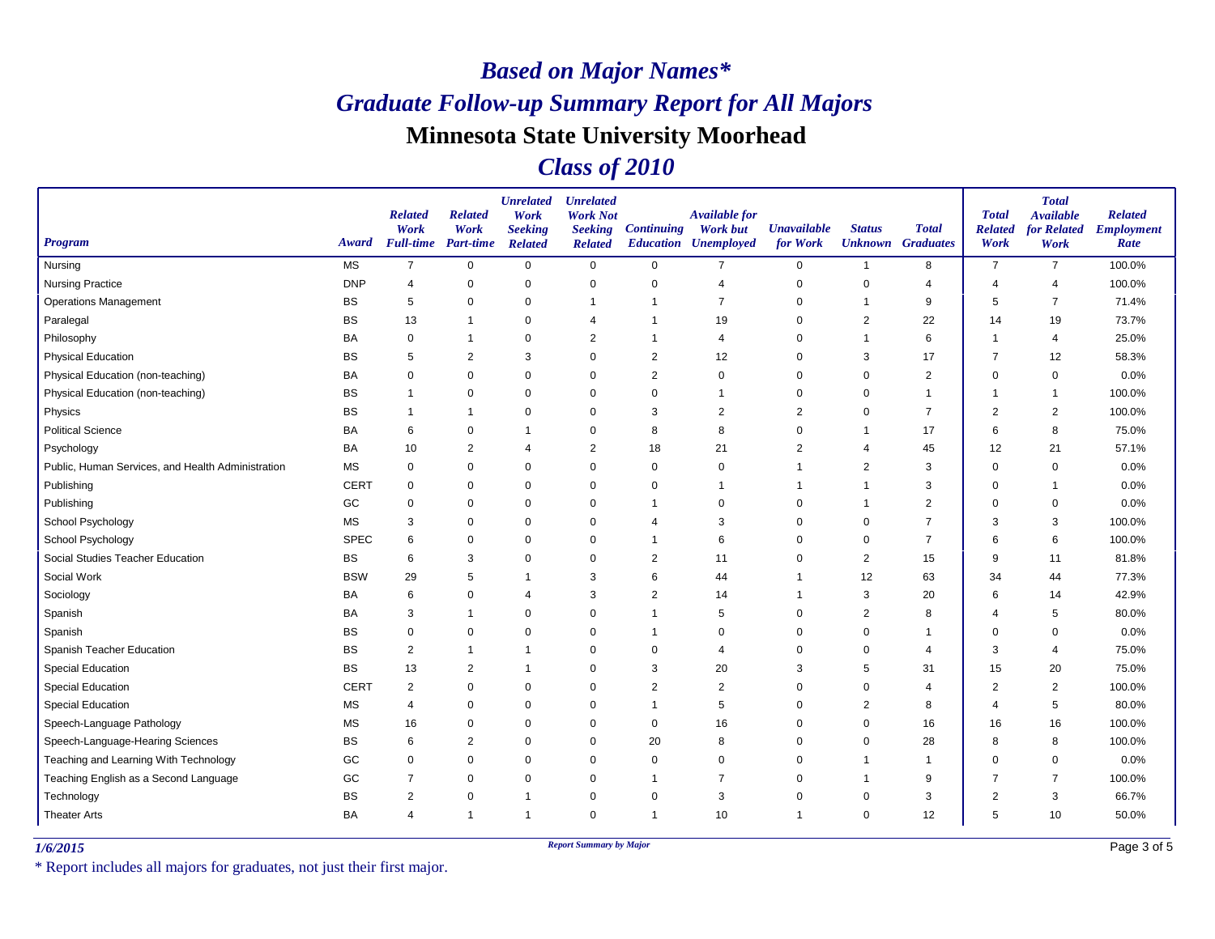#### *Class of 2010*

| <b>Program</b>                                    | Award       | <b>Related</b><br>Work<br><b>Full-time</b> | <b>Related</b><br>Work<br><b>Part-time</b> | <b>Unrelated</b><br>Work<br><b>Seeking</b><br><b>Related</b> | <b>Unrelated</b><br><b>Work Not</b><br><b>Seeking</b><br><b>Related</b> | <b>Continuing</b> | <b>Available for</b><br><b>Work but</b><br><b>Education Unemployed</b> | <b>Unavailable</b><br>for Work | <b>Status</b>           | <b>Total</b><br><b>Unknown</b> Graduates | <b>Total</b><br><b>Related</b><br>Work | <b>Total</b><br><b>Available</b><br><b>for Related</b><br>Work | <b>Related</b><br><b>Employment</b><br>Rate |
|---------------------------------------------------|-------------|--------------------------------------------|--------------------------------------------|--------------------------------------------------------------|-------------------------------------------------------------------------|-------------------|------------------------------------------------------------------------|--------------------------------|-------------------------|------------------------------------------|----------------------------------------|----------------------------------------------------------------|---------------------------------------------|
| Nursing                                           | <b>MS</b>   | $\overline{7}$                             | $\mathbf 0$                                | $\mathsf 0$                                                  | $\mathbf 0$                                                             | $\mathbf 0$       | $\overline{7}$                                                         | $\mathbf 0$                    | $\overline{1}$          | 8                                        | $\overline{7}$                         | $\overline{7}$                                                 | 100.0%                                      |
| <b>Nursing Practice</b>                           | <b>DNP</b>  | 4                                          | $\pmb{0}$                                  | $\pmb{0}$                                                    | $\mathbf 0$                                                             | $\mathbf 0$       | $\overline{4}$                                                         | 0                              | 0                       | 4                                        | 4                                      | 4                                                              | 100.0%                                      |
| <b>Operations Management</b>                      | <b>BS</b>   | 5                                          | $\mathbf 0$                                | $\mathbf 0$                                                  | $\overline{1}$                                                          | -1                | $\overline{7}$                                                         | $\Omega$                       | $\mathbf{1}$            | 9                                        | 5                                      | $\overline{7}$                                                 | 71.4%                                       |
| Paralegal                                         | <b>BS</b>   | 13                                         | $\overline{1}$                             | $\mathbf 0$                                                  | $\overline{4}$                                                          |                   | 19                                                                     | 0                              | $\overline{2}$          | 22                                       | 14                                     | 19                                                             | 73.7%                                       |
| Philosophy                                        | BA          | $\mathbf 0$                                | $\mathbf 1$                                | $\pmb{0}$                                                    | 2                                                                       | $\mathbf 1$       | $\overline{4}$                                                         | 0                              | $\mathbf 1$             | 6                                        | -1                                     | $\overline{4}$                                                 | 25.0%                                       |
| <b>Physical Education</b>                         | <b>BS</b>   | 5                                          | $\overline{2}$                             | 3                                                            | $\mathbf 0$                                                             | $\overline{2}$    | 12                                                                     | 0                              | 3                       | 17                                       | $\overline{7}$                         | 12                                                             | 58.3%                                       |
| Physical Education (non-teaching)                 | BA          | $\mathbf 0$                                | $\mathbf 0$                                | $\mathbf 0$                                                  | $\mathbf 0$                                                             | $\overline{2}$    | $\Omega$                                                               | $\mathbf 0$                    | $\mathbf 0$             | $\overline{2}$                           | $\mathbf 0$                            | 0                                                              | 0.0%                                        |
| Physical Education (non-teaching)                 | <b>BS</b>   | 1                                          | $\mathbf 0$                                | $\pmb{0}$                                                    | $\mathbf 0$                                                             | $\mathbf 0$       |                                                                        | 0                              | 0                       | $\mathbf 1$                              |                                        | -1                                                             | 100.0%                                      |
| Physics                                           | <b>BS</b>   | $\overline{1}$                             | $\overline{1}$                             | $\mathbf 0$                                                  | $\mathbf 0$                                                             | 3                 | $\overline{2}$                                                         | $\overline{2}$                 | $\mathbf 0$             | $\overline{7}$                           | $\overline{2}$                         | $\overline{2}$                                                 | 100.0%                                      |
| <b>Political Science</b>                          | BA          | 6                                          | 0                                          | $\mathbf 1$                                                  | 0                                                                       | 8                 | 8                                                                      | 0                              | 1                       | 17                                       | 6                                      | 8                                                              | 75.0%                                       |
| Psychology                                        | BA          | 10                                         | $\overline{2}$                             | 4                                                            | $\overline{2}$                                                          | 18                | 21                                                                     | $\overline{2}$                 | 4                       | 45                                       | 12                                     | 21                                                             | 57.1%                                       |
| Public, Human Services, and Health Administration | <b>MS</b>   | $\mathbf 0$                                | $\mathbf 0$                                | $\mathbf 0$                                                  | $\mathbf 0$                                                             | $\mathbf 0$       | $\Omega$                                                               | 1                              | $\overline{c}$          | 3                                        | $\Omega$                               | $\mathbf 0$                                                    | 0.0%                                        |
| Publishing                                        | <b>CERT</b> | $\mathbf 0$                                | $\mathbf 0$                                | $\mathbf 0$                                                  | $\mathbf 0$                                                             | $\mathbf 0$       |                                                                        | 1                              | $\mathbf 1$             | 3                                        | $\Omega$                               | -1                                                             | 0.0%                                        |
| Publishing                                        | GC          | $\mathbf 0$                                | 0                                          | $\pmb{0}$                                                    | $\mathbf 0$                                                             |                   | $\mathbf 0$                                                            | 0                              | -1                      | $\overline{2}$                           | $\Omega$                               | 0                                                              | 0.0%                                        |
| School Psychology                                 | <b>MS</b>   | 3                                          | $\mathbf 0$                                | $\mathbf 0$                                                  | $\mathbf 0$                                                             | $\overline{4}$    | 3                                                                      | $\Omega$                       | $\mathbf 0$             | $\overline{7}$                           | 3                                      | 3                                                              | 100.0%                                      |
| School Psychology                                 | <b>SPEC</b> | 6                                          | $\pmb{0}$                                  | $\pmb{0}$                                                    | $\mathbf 0$                                                             | $\mathbf 1$       | 6                                                                      | 0                              | 0                       | $\overline{7}$                           | 6                                      | 6                                                              | 100.0%                                      |
| Social Studies Teacher Education                  | <b>BS</b>   | 6                                          | 3                                          | $\pmb{0}$                                                    | 0                                                                       | $\overline{2}$    | 11                                                                     | 0                              | $\overline{2}$          | 15                                       | 9                                      | 11                                                             | 81.8%                                       |
| Social Work                                       | <b>BSW</b>  | 29                                         | 5                                          | $\overline{1}$                                               | 3                                                                       | 6                 | 44                                                                     | 1                              | 12                      | 63                                       | 34                                     | 44                                                             | 77.3%                                       |
| Sociology                                         | BA          | 6                                          | $\mathbf 0$                                | $\overline{4}$                                               | 3                                                                       | $\overline{2}$    | 14                                                                     | 1                              | 3                       | 20                                       | 6                                      | 14                                                             | 42.9%                                       |
| Spanish                                           | BA          | 3                                          | $\mathbf 1$                                | $\mathbf 0$                                                  | $\mathbf 0$                                                             | 1                 | 5                                                                      | 0                              | $\overline{2}$          | 8                                        | 4                                      | 5                                                              | 80.0%                                       |
| Spanish                                           | <b>BS</b>   | 0                                          | $\mathbf 0$                                | $\mathbf 0$                                                  | $\mathbf 0$                                                             | 1                 | $\Omega$                                                               | $\Omega$                       | $\mathbf 0$             | $\overline{1}$                           | $\Omega$                               | 0                                                              | 0.0%                                        |
| Spanish Teacher Education                         | <b>BS</b>   | $\overline{2}$                             | $\mathbf 1$                                | $\mathbf{1}$                                                 | $\mathbf 0$                                                             | $\mathbf 0$       | $\overline{4}$                                                         | 0                              | $\mathbf 0$             | $\overline{4}$                           | 3                                      | $\overline{4}$                                                 | 75.0%                                       |
| <b>Special Education</b>                          | <b>BS</b>   | 13                                         | $\overline{2}$                             | $\mathbf{1}$                                                 | 0                                                                       | 3                 | 20                                                                     | 3                              | 5                       | 31                                       | 15                                     | 20                                                             | 75.0%                                       |
| <b>Special Education</b>                          | <b>CERT</b> | 2                                          | $\mathbf 0$                                | $\mathbf 0$                                                  | 0                                                                       | $\overline{2}$    | $\overline{2}$                                                         | 0                              | 0                       | $\overline{4}$                           | $\overline{2}$                         | $\overline{2}$                                                 | 100.0%                                      |
| <b>Special Education</b>                          | <b>MS</b>   | 4                                          | $\pmb{0}$                                  | $\mathbf 0$                                                  | 0                                                                       | $\mathbf 1$       | 5                                                                      | 0                              | $\overline{\mathbf{c}}$ | 8                                        | 4                                      | 5                                                              | 80.0%                                       |
| Speech-Language Pathology                         | <b>MS</b>   | 16                                         | $\mathbf 0$                                | $\mathbf 0$                                                  | $\mathbf 0$                                                             | $\mathbf 0$       | 16                                                                     | 0                              | 0                       | 16                                       | 16                                     | 16                                                             | 100.0%                                      |
| Speech-Language-Hearing Sciences                  | <b>BS</b>   | 6                                          | $\overline{2}$                             | $\mathbf 0$                                                  | $\mathbf 0$                                                             | 20                | 8                                                                      | 0                              | $\mathbf 0$             | 28                                       | 8                                      | 8                                                              | 100.0%                                      |
| Teaching and Learning With Technology             | GC          | 0                                          | $\mathbf 0$                                | $\mathbf 0$                                                  | $\mathbf 0$                                                             | $\mathbf 0$       | $\Omega$                                                               | 0                              | $\overline{1}$          | $\mathbf{1}$                             | $\Omega$                               | 0                                                              | 0.0%                                        |
| Teaching English as a Second Language             | GC          | $\overline{7}$                             | $\mathbf 0$                                | $\mathbf 0$                                                  | $\mathbf 0$                                                             |                   | $\overline{7}$                                                         | 0                              | $\mathbf 1$             | 9                                        | 7                                      | $\overline{7}$                                                 | 100.0%                                      |
| Technology                                        | <b>BS</b>   | $\overline{2}$                             | $\mathbf 0$                                | $\mathbf{1}$                                                 | $\mathbf 0$                                                             | $\mathbf 0$       | 3                                                                      | $\Omega$                       | $\mathbf 0$             | 3                                        | $\overline{2}$                         | 3                                                              | 66.7%                                       |
| <b>Theater Arts</b>                               | BA          | 4                                          | $\overline{1}$                             | $\overline{1}$                                               | $\mathbf 0$                                                             | $\overline{1}$    | 10                                                                     | 1                              | $\mathbf 0$             | 12                                       | 5                                      | 10                                                             | 50.0%                                       |

*1/6/2015 Report Summary by Major*

\* Report includes all majors for graduates, not just their first major.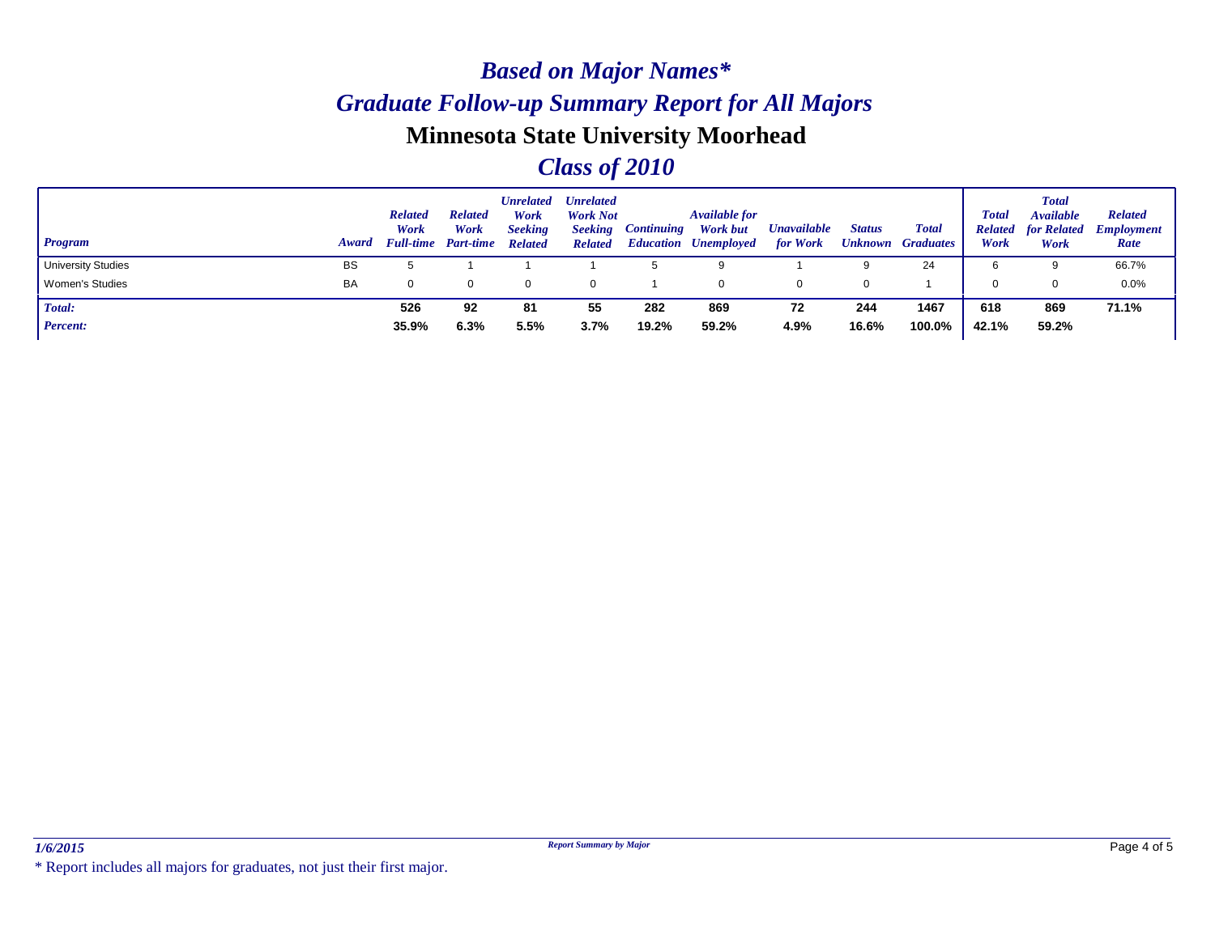#### *Program Award Status Unknown Graduates Unavailable for Work Available for Work but Unemployed Education Continuing Unrelated Work Not Seeking Related Unrelated Work Seeking Related Related Work Full-time Part-time Related Work Total Available for Related Employment Work Total Related Work Related Rate Total* University Studies BS 5 1 1 5 9 1 9 24 | 6 9 66.7% Women's Studies BA 0 0 0 0 1 0 0 0 1 0 0 0.0% *Total:* **244** *Percent:* **526 92 81 55 282 869 72 1467 618 869 71.1% 35.9% 6.3% 5.5% 3.7% 19.2% 59.2% 4.9% 16.6% 100.0% 42.1% 59.2%**